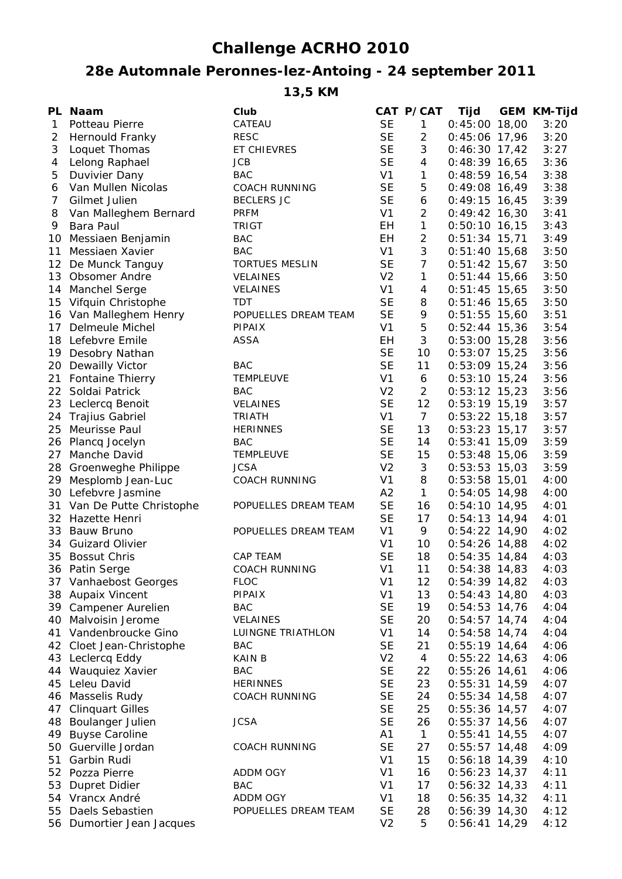## **Challenge ACRHO 2010**

## **28e Automnale Peronnes-lez-Antoing - 24 september 2011**

**13,5 KM**

|              | PL Naam                    | Club                  |                | CAT P/CAT        | Tijd            | <b>GEM KM-Tijd</b> |
|--------------|----------------------------|-----------------------|----------------|------------------|-----------------|--------------------|
| $\mathbf{1}$ | Potteau Pierre             | CATEAU                | <b>SE</b>      | $\mathbf{1}$     | $0:45:00$ 18,00 | 3:20               |
| 2            | Hernould Franky            | <b>RESC</b>           | <b>SE</b>      | $\overline{2}$   | $0:45:06$ 17,96 | 3:20               |
| 3            | Loquet Thomas              | ET CHIEVRES           | <b>SE</b>      | $\mathfrak{Z}$   | $0:46:30$ 17,42 | 3:27               |
| 4            | Lelong Raphael             | <b>JCB</b>            | <b>SE</b>      | $\overline{4}$   | $0:48:39$ 16,65 | 3:36               |
| 5            | Duvivier Dany              | <b>BAC</b>            | V <sub>1</sub> | $\mathbf{1}$     | $0:48:59$ 16,54 | 3:38               |
| 6            | Van Mullen Nicolas         | <b>COACH RUNNING</b>  | <b>SE</b>      | 5                | $0:49:08$ 16,49 | 3:38               |
| 7            | Gilmet Julien              | <b>BECLERS JC</b>     | <b>SE</b>      | $\boldsymbol{6}$ | $0:49:15$ 16,45 | 3:39               |
| 8            | Van Malleghem Bernard      | <b>PRFM</b>           | V <sub>1</sub> | $\overline{a}$   | $0:49:42$ 16,30 | 3:41               |
| 9            | Bara Paul                  | <b>TRIGT</b>          | EH             | $\mathbf{1}$     | $0:50:10$ 16,15 | 3:43               |
| 10           | Messiaen Benjamin          | <b>BAC</b>            | EH             | $\overline{a}$   | $0:51:34$ 15,71 | 3:49               |
| 11           | Messiaen Xavier            | <b>BAC</b>            | V <sub>1</sub> | $\mathfrak{Z}$   | $0:51:40$ 15,68 | 3:50               |
|              | 12 De Munck Tanguy         | <b>TORTUES MESLIN</b> | <b>SE</b>      | $\overline{7}$   | $0:51:42$ 15,67 | 3:50               |
|              | 13 Obsomer Andre           | <b>VELAINES</b>       | V <sub>2</sub> | $\mathbf{1}$     | $0:51:44$ 15,66 | 3:50               |
|              | 14 Manchel Serge           | <b>VELAINES</b>       | V <sub>1</sub> | 4                | $0:51:45$ 15,65 | 3:50               |
|              | 15 Vifquin Christophe      | <b>TDT</b>            | <b>SE</b>      | 8                | $0:51:46$ 15,65 | 3:50               |
|              | 16 Van Malleghem Henry     | POPUELLES DREAM TEAM  | <b>SE</b>      | 9                | $0:51:55$ 15,60 | 3:51               |
| 17           | Delmeule Michel            | <b>PIPAIX</b>         | V <sub>1</sub> | 5                | $0:52:44$ 15,36 | 3:54               |
|              | 18 Lefebvre Emile          | ASSA                  | EH             | 3                | $0:53:00$ 15,28 | 3:56               |
| 19           | Desobry Nathan             |                       | <b>SE</b>      | 10               | $0:53:07$ 15,25 | 3:56               |
| 20           | Dewailly Victor            | <b>BAC</b>            | <b>SE</b>      | 11               | $0:53:09$ 15,24 | 3:56               |
| 21           | <b>Fontaine Thierry</b>    | TEMPLEUVE             | V <sub>1</sub> | 6                | $0:53:10$ 15,24 | 3:56               |
|              | 22 Soldai Patrick          | <b>BAC</b>            | V <sub>2</sub> | $\overline{2}$   | $0:53:12$ 15,23 | 3:56               |
|              | 23 Leclercq Benoit         | <b>VELAINES</b>       | <b>SE</b>      | 12               | $0:53:19$ 15,19 | 3:57               |
|              | 24 Trajius Gabriel         | <b>TRIATH</b>         | V <sub>1</sub> | $7\overline{ }$  | $0:53:22$ 15,18 | 3:57               |
| 25           | Meurisse Paul              | <b>HERINNES</b>       | <b>SE</b>      | 13               | $0:53:23$ 15,17 | 3:57               |
|              | 26 Plancq Jocelyn          | <b>BAC</b>            | <b>SE</b>      | 14               | $0:53:41$ 15,09 | 3:59               |
|              | 27 Manche David            | TEMPLEUVE             | <b>SE</b>      | 15               | $0:53:48$ 15,06 | 3:59               |
|              | 28 Groenweghe Philippe     | <b>JCSA</b>           | V <sub>2</sub> | 3                | $0:53:53$ 15,03 | 3:59               |
|              | 29 Mesplomb Jean-Luc       | <b>COACH RUNNING</b>  | V <sub>1</sub> | 8                | $0:53:58$ 15,01 | 4:00               |
|              | 30 Lefebvre Jasmine        |                       | A2             | $\mathbf{1}$     | $0:54:05$ 14,98 | 4:00               |
|              | 31 Van De Putte Christophe | POPUELLES DREAM TEAM  | <b>SE</b>      | 16               | $0:54:10$ 14,95 | 4:01               |
|              | 32 Hazette Henri           |                       | <b>SE</b>      | 17               | $0:54:13$ 14,94 | 4:01               |
|              | 33 Bauw Bruno              | POPUELLES DREAM TEAM  | V <sub>1</sub> | 9                | $0:54:22$ 14,90 | 4:02               |
|              | 34 Guizard Olivier         |                       | V <sub>1</sub> | 10               | $0:54:26$ 14,88 | 4:02               |
| 35           | <b>Bossut Chris</b>        | <b>CAP TEAM</b>       | <b>SE</b>      | 18               | $0:54:35$ 14,84 | 4:03               |
|              | 36 Patin Serge             | <b>COACH RUNNING</b>  | V <sub>1</sub> | 11               | $0:54:38$ 14,83 | 4:03               |
| 37           | Vanhaebost Georges         | <b>FLOC</b>           | V <sub>1</sub> | 12               | $0:54:39$ 14,82 | 4:03               |
|              | 38 Aupaix Vincent          | PIPAIX                | V <sub>1</sub> | 13               | $0:54:43$ 14,80 | 4:03               |
| 39           | Campener Aurelien          | <b>BAC</b>            | <b>SE</b>      | 19               | $0:54:53$ 14,76 | 4:04               |
| 40           | Malvoisin Jerome           | VELAINES              | <b>SE</b>      | 20               | $0:54:57$ 14,74 | 4:04               |
| 41           | Vandenbroucke Gino         | LUINGNE TRIATHLON     | V <sub>1</sub> | 14               | $0:54:58$ 14,74 | 4:04               |
| 42           | Cloet Jean-Christophe      | <b>BAC</b>            | <b>SE</b>      | 21               | $0:55:19$ 14,64 | 4:06               |
| 43           | Leclercq Eddy              | KAIN B                | V <sub>2</sub> | 4                | $0:55:22$ 14,63 | 4:06               |
| 44           | Wauquiez Xavier            | <b>BAC</b>            | <b>SE</b>      | 22               | $0:55:26$ 14,61 | 4:06               |
| 45           | Leleu David                | <b>HERINNES</b>       | <b>SE</b>      | 23               | $0:55:31$ 14,59 | 4:07               |
| 46           | Masselis Rudy              | <b>COACH RUNNING</b>  | <b>SE</b>      | 24               | $0:55:34$ 14,58 | 4:07               |
| 47           | <b>Clinquart Gilles</b>    |                       | <b>SE</b>      | 25               | $0:55:36$ 14,57 | 4:07               |
| 48           | Boulanger Julien           | <b>JCSA</b>           | <b>SE</b>      | 26               | $0:55:37$ 14,56 | 4:07               |
| 49           | <b>Buyse Caroline</b>      |                       | A <sub>1</sub> | $\mathbf{1}$     | $0:55:41$ 14,55 | 4:07               |
| 50           | Guerville Jordan           | <b>COACH RUNNING</b>  | <b>SE</b>      | 27               | $0:55:57$ 14,48 | 4:09               |
| 51           | Garbin Rudi                |                       | V <sub>1</sub> | 15               | $0:56:18$ 14,39 | 4:10               |
| 52           | Pozza Pierre               | ADDM OGY              | V <sub>1</sub> | 16               | $0:56:23$ 14,37 | 4:11               |
| 53           | Dupret Didier              | <b>BAC</b>            | V <sub>1</sub> | 17               | $0:56:32$ 14,33 | 4:11               |
| 54           | Vrancx André               | ADDM OGY              | V <sub>1</sub> | 18               | $0:56:35$ 14,32 | 4:11               |
| 55           | Daels Sebastien            | POPUELLES DREAM TEAM  | <b>SE</b>      | 28               | $0:56:39$ 14,30 | 4:12               |
| 56           | Dumortier Jean Jacques     |                       | V <sub>2</sub> | 5                | $0:56:41$ 14,29 | 4:12               |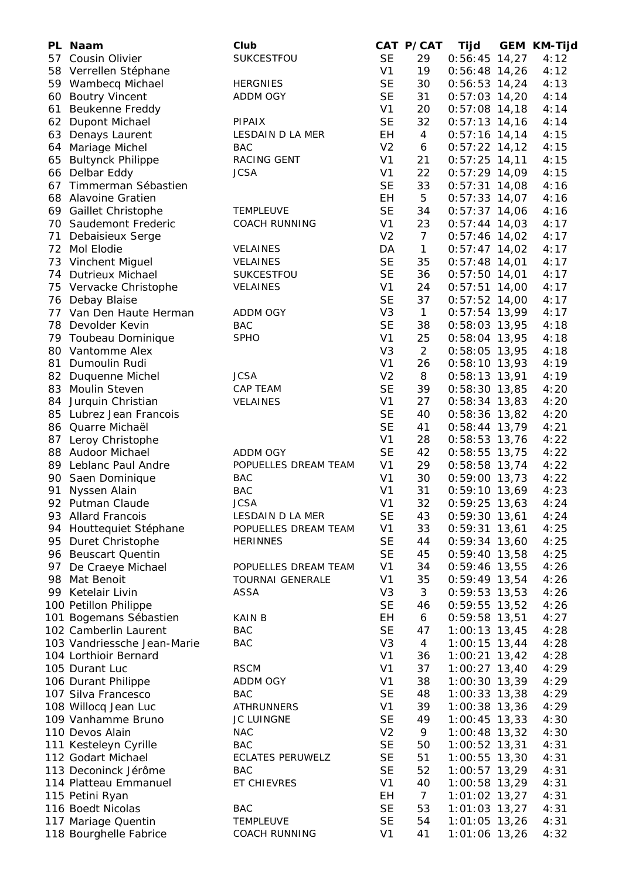|    | PL Naam                     | Club                    |                | CAT P/CAT      | Tijd            | <b>GEM KM-Tijd</b> |
|----|-----------------------------|-------------------------|----------------|----------------|-----------------|--------------------|
|    | 57 Cousin Olivier           | SUKCESTFOU              | <b>SE</b>      | 29             | $0:56:45$ 14,27 | 4:12               |
|    | 58 Verrellen Stéphane       |                         | V <sub>1</sub> | 19             | $0:56:48$ 14,26 | 4:12               |
|    | 59 Wambecq Michael          | <b>HERGNIES</b>         | <b>SE</b>      | 30             | $0:56:53$ 14,24 | 4:13               |
|    | 60 Boutry Vincent           | ADDM OGY                | <b>SE</b>      | 31             | $0:57:03$ 14,20 | 4:14               |
| 61 | <b>Beukenne Freddy</b>      |                         | V <sub>1</sub> | 20             | $0:57:08$ 14,18 | 4:14               |
|    | 62 Dupont Michael           | PIPAIX                  | <b>SE</b>      | 32             | $0:57:13$ 14,16 | 4:14               |
|    | 63 Denays Laurent           | LESDAIN D LA MER        | EH             | $\overline{4}$ | $0:57:16$ 14,14 | 4:15               |
| 64 | Mariage Michel              | <b>BAC</b>              | V <sub>2</sub> | 6              | $0:57:22$ 14,12 | 4:15               |
| 65 | <b>Bultynck Philippe</b>    | RACING GENT             | V <sub>1</sub> | 21             | $0:57:25$ 14,11 | 4:15               |
|    | 66 Delbar Eddy              | <b>JCSA</b>             | V <sub>1</sub> | 22             | $0:57:29$ 14,09 | 4:15               |
|    | 67 Timmerman Sébastien      |                         | <b>SE</b>      | 33             | $0:57:31$ 14,08 | 4:16               |
|    | 68 Alavoine Gratien         |                         | EH             | 5              | $0:57:33$ 14,07 | 4:16               |
|    | 69 Gaillet Christophe       | <b>TEMPLEUVE</b>        | <b>SE</b>      | 34             | $0:57:37$ 14,06 | 4:16               |
|    | 70 Saudemont Frederic       | <b>COACH RUNNING</b>    | V <sub>1</sub> | 23             | $0:57:44$ 14,03 | 4:17               |
| 71 | Debaisieux Serge            |                         | V <sub>2</sub> | $\overline{7}$ | $0:57:46$ 14,02 | 4:17               |
| 72 | Mol Elodie                  | <b>VELAINES</b>         | DA             | $\mathbf{1}$   | $0:57:47$ 14,02 | 4:17               |
| 73 | Vinchent Miguel             | <b>VELAINES</b>         | <b>SE</b>      | 35             | $0:57:48$ 14,01 | 4:17               |
|    | 74 Dutrieux Michael         | SUKCESTFOU              | <b>SE</b>      | 36             | $0:57:50$ 14,01 | 4:17               |
|    | 75 Vervacke Christophe      | <b>VELAINES</b>         | V <sub>1</sub> | 24             | $0:57:51$ 14,00 | 4:17               |
|    | 76 Debay Blaise             |                         | <b>SE</b>      | 37             | $0:57:52$ 14,00 | 4:17               |
|    | 77 Van Den Haute Herman     | ADDM OGY                | V <sub>3</sub> | $\mathbf{1}$   | $0:57:54$ 13,99 | 4:17               |
|    | 78 Devolder Kevin           | <b>BAC</b>              | <b>SE</b>      | 38             | $0:58:03$ 13,95 | 4:18               |
|    | 79 Toubeau Dominique        | <b>SPHO</b>             | V <sub>1</sub> | 25             | $0:58:04$ 13,95 | 4:18               |
|    | 80 Vantomme Alex            |                         | V <sub>3</sub> | $\overline{2}$ | $0:58:05$ 13,95 | 4:18               |
| 81 | Dumoulin Rudi               |                         | V <sub>1</sub> | 26             | $0:58:10$ 13,93 | 4:19               |
|    | 82 Duquenne Michel          | <b>JCSA</b>             | V <sub>2</sub> | 8              | $0:58:13$ 13,91 | 4:19               |
|    | 83 Moulin Steven            | CAP TEAM                | <b>SE</b>      | 39             | $0:58:30$ 13,85 | 4:20               |
|    | 84 Jurquin Christian        | VELAINES                | V <sub>1</sub> | 27             | $0:58:34$ 13,83 | 4:20               |
|    | 85 Lubrez Jean Francois     |                         | <b>SE</b>      | 40             | $0:58:36$ 13,82 | 4:20               |
|    | 86 Quarre Michaël           |                         | <b>SE</b>      | 41             | $0:58:44$ 13,79 | 4:21               |
|    | 87 Leroy Christophe         |                         | V <sub>1</sub> | 28             | $0:58:53$ 13,76 | 4:22               |
|    | 88 Audoor Michael           | ADDM OGY                | <b>SE</b>      | 42             | $0:58:55$ 13,75 | 4:22               |
|    | 89 Leblanc Paul Andre       | POPUELLES DREAM TEAM    | V <sub>1</sub> | 29             | $0:58:58$ 13,74 | 4:22               |
|    | 90 Saen Dominique           | BAC                     | V <sub>1</sub> | 30             | $0:59:00$ 13,73 | 4:22               |
| 91 | Nyssen Alain                | <b>BAC</b>              | V <sub>1</sub> | 31             | $0:59:10$ 13,69 | 4:23               |
|    | 92 Putman Claude            | <b>JCSA</b>             | V <sub>1</sub> | 32             | $0:59:25$ 13,63 | 4:24               |
|    | 93 Allard Francois          | LESDAIN D LA MER        | <b>SE</b>      | 43             | $0:59:30$ 13,61 | 4:24               |
|    | 94 Houttequiet Stéphane     | POPUELLES DREAM TEAM    | V <sub>1</sub> | 33             | $0:59:31$ 13,61 | 4:25               |
|    | 95 Duret Christophe         | <b>HERINNES</b>         | <b>SE</b>      | 44             | $0:59:34$ 13,60 | 4:25               |
|    | 96 Beuscart Quentin         |                         | <b>SE</b>      | 45             | $0:59:40$ 13,58 | 4:25               |
|    | 97 De Craeye Michael        | POPUELLES DREAM TEAM    | V <sub>1</sub> | 34             | $0:59:46$ 13,55 | 4:26               |
| 98 | Mat Benoit                  | <b>TOURNAI GENERALE</b> | V <sub>1</sub> | 35             | $0:59:49$ 13,54 | 4:26               |
|    | 99 Ketelair Livin           | <b>ASSA</b>             | V <sub>3</sub> | 3              | 0:59:53 13,53   | 4:26               |
|    | 100 Petillon Philippe       |                         | <b>SE</b>      | 46             | $0:59:55$ 13,52 | 4:26               |
|    | 101 Bogemans Sébastien      | KAIN B                  | EH             | 6              | $0:59:58$ 13,51 | 4:27               |
|    | 102 Camberlin Laurent       | <b>BAC</b>              | <b>SE</b>      | 47             | $1:00:13$ 13,45 | 4:28               |
|    | 103 Vandriessche Jean-Marie | <b>BAC</b>              | V <sub>3</sub> | 4              | $1:00:15$ 13,44 | 4:28               |
|    | 104 Lorthioir Bernard       |                         | V <sub>1</sub> | 36             | $1:00:21$ 13,42 | 4:28               |
|    | 105 Durant Luc              | <b>RSCM</b>             | V <sub>1</sub> | 37             | $1:00:27$ 13,40 | 4:29               |
|    | 106 Durant Philippe         | ADDM OGY                | V <sub>1</sub> | 38             | $1:00:30$ 13,39 | 4:29               |
|    | 107 Silva Francesco         | <b>BAC</b>              | <b>SE</b>      | 48             | $1:00:33$ 13,38 | 4:29               |
|    | 108 Willocq Jean Luc        | <b>ATHRUNNERS</b>       | V <sub>1</sub> | 39             | 1:00:38 13,36   | 4:29               |
|    | 109 Vanhamme Bruno          | <b>JC LUINGNE</b>       | <b>SE</b>      | 49             | $1:00:45$ 13,33 | 4:30               |
|    | 110 Devos Alain             | <b>NAC</b>              | V <sub>2</sub> | 9              | $1:00:48$ 13,32 | 4:30               |
|    | 111 Kesteleyn Cyrille       | <b>BAC</b>              | <b>SE</b>      | 50             | 1:00:52 13,31   | 4:31               |
|    | 112 Godart Michael          | <b>ECLATES PERUWELZ</b> | <b>SE</b>      | 51             | $1:00:55$ 13,30 | 4:31               |
|    | 113 Deconinck Jérôme        | <b>BAC</b>              | <b>SE</b>      | 52             | 1:00:57 13,29   | 4:31               |
|    | 114 Platteau Emmanuel       | ET CHIEVRES             | V <sub>1</sub> | 40             | 1:00:58 13,29   | 4:31               |
|    | 115 Petini Ryan             |                         | EН             | $\overline{7}$ | $1:01:02$ 13,27 | 4:31               |
|    | 116 Boedt Nicolas           | <b>BAC</b>              | <b>SE</b>      | 53             | $1:01:03$ 13,27 | 4:31               |
|    | 117 Mariage Quentin         | <b>TEMPLEUVE</b>        | <b>SE</b>      | 54             | $1:01:05$ 13,26 | 4:31               |
|    | 118 Bourghelle Fabrice      | <b>COACH RUNNING</b>    | V <sub>1</sub> | 41             | 1:01:06 13,26   | 4:32               |
|    |                             |                         |                |                |                 |                    |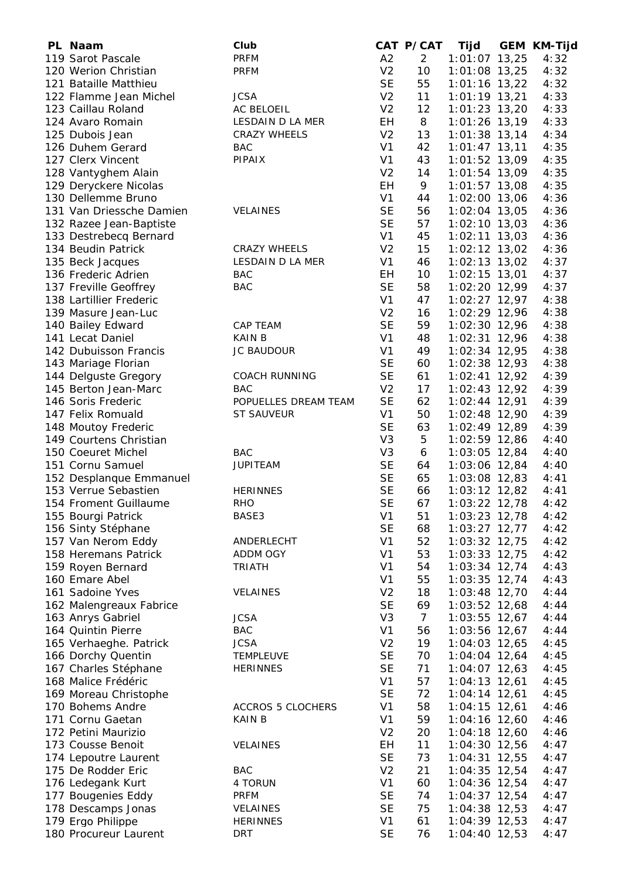| PL Naam                  | Club                     |                | CAT P/CAT      | Tijd            | <b>GEM KM-Tijd</b> |
|--------------------------|--------------------------|----------------|----------------|-----------------|--------------------|
| 119 Sarot Pascale        | <b>PRFM</b>              | A2             | $\overline{2}$ | $1:01:07$ 13,25 | 4:32               |
| 120 Werion Christian     | <b>PRFM</b>              | V <sub>2</sub> | 10             | 1:01:08 13,25   | 4:32               |
| 121 Bataille Matthieu    |                          | <b>SE</b>      | 55             | $1:01:16$ 13,22 | 4:32               |
| 122 Flamme Jean Michel   | <b>JCSA</b>              | V <sub>2</sub> | 11             | $1:01:19$ 13,21 | 4:33               |
| 123 Caillau Roland       | AC BELOEIL               | V <sub>2</sub> | 12             | $1:01:23$ 13,20 | 4:33               |
| 124 Avaro Romain         | LESDAIN D LA MER         | EH             | 8              | 1:01:26 13,19   | 4:33               |
|                          |                          | V <sub>2</sub> |                |                 |                    |
| 125 Dubois Jean          | <b>CRAZY WHEELS</b>      |                | 13             | $1:01:38$ 13,14 | 4:34               |
| 126 Duhem Gerard         | <b>BAC</b>               | V <sub>1</sub> | 42             | $1:01:47$ 13,11 | 4:35               |
| 127 Clerx Vincent        | PIPAIX                   | V <sub>1</sub> | 43             | 1:01:52 13,09   | 4:35               |
| 128 Vantyghem Alain      |                          | V <sub>2</sub> | 14             | 1:01:54 13,09   | 4:35               |
| 129 Deryckere Nicolas    |                          | EH             | 9              | $1:01:57$ 13,08 | 4:35               |
| 130 Dellemme Bruno       |                          | V <sub>1</sub> | 44             | $1:02:00$ 13,06 | 4:36               |
| 131 Van Driessche Damien | <b>VELAINES</b>          | <b>SE</b>      | 56             | $1:02:04$ 13,05 | 4:36               |
| 132 Razee Jean-Baptiste  |                          | <b>SE</b>      | 57             | $1:02:10$ 13,03 | 4:36               |
| 133 Destrebecq Bernard   |                          | V <sub>1</sub> | 45             | $1:02:11$ 13,03 | 4:36               |
| 134 Beudin Patrick       | <b>CRAZY WHEELS</b>      | V <sub>2</sub> | 15             | $1:02:12$ 13,02 | 4:36               |
| 135 Beck Jacques         | LESDAIN D LA MER         | V <sub>1</sub> | 46             | $1:02:13$ 13,02 | 4:37               |
| 136 Frederic Adrien      | <b>BAC</b>               | EH             | 10             | $1:02:15$ 13,01 | 4:37               |
|                          |                          |                |                |                 |                    |
| 137 Freville Geoffrey    | <b>BAC</b>               | <b>SE</b>      | 58             | 1:02:20 12,99   | 4:37               |
| 138 Lartillier Frederic  |                          | V <sub>1</sub> | 47             | $1:02:27$ 12,97 | 4:38               |
| 139 Masure Jean-Luc      |                          | V <sub>2</sub> | 16             | 1:02:29 12,96   | 4:38               |
| 140 Bailey Edward        | CAP TEAM                 | <b>SE</b>      | 59             | 1:02:30 12,96   | 4:38               |
| 141 Lecat Daniel         | <b>KAIN B</b>            | V <sub>1</sub> | 48             | $1:02:31$ 12,96 | 4:38               |
| 142 Dubuisson Francis    | JC BAUDOUR               | V <sub>1</sub> | 49             | $1:02:34$ 12,95 | 4:38               |
| 143 Mariage Florian      |                          | <b>SE</b>      | 60             | $1:02:38$ 12,93 | 4:38               |
| 144 Delguste Gregory     | <b>COACH RUNNING</b>     | <b>SE</b>      | 61             | 1:02:41 12,92   | 4:39               |
| 145 Berton Jean-Marc     | <b>BAC</b>               | V <sub>2</sub> | 17             | $1:02:43$ 12,92 | 4:39               |
| 146 Soris Frederic       | POPUELLES DREAM TEAM     | <b>SE</b>      | 62             | $1:02:44$ 12,91 | 4:39               |
| 147 Felix Romuald        | <b>ST SAUVEUR</b>        | V <sub>1</sub> | 50             | 1:02:48 12,90   | 4:39               |
| 148 Moutoy Frederic      |                          | <b>SE</b>      | 63             | 1:02:49 12,89   | 4:39               |
| 149 Courtens Christian   |                          | V <sub>3</sub> | 5              | 1:02:59 12,86   | 4:40               |
|                          |                          |                |                |                 |                    |
| 150 Coeuret Michel       | <b>BAC</b>               | V <sub>3</sub> | 6              | $1:03:05$ 12,84 | 4:40               |
| 151 Cornu Samuel         | <b>JUPITEAM</b>          | <b>SE</b>      | 64             | 1:03:06 12,84   | 4:40               |
| 152 Desplanque Emmanuel  |                          | <b>SE</b>      | 65             | 1:03:08 12,83   | 4:41               |
| 153 Verrue Sebastien     | <b>HERINNES</b>          | <b>SE</b>      | 66             | $1:03:12$ 12,82 | 4:41               |
| 154 Froment Guillaume    | <b>RHO</b>               | <b>SE</b>      | 67             | 1:03:22 12,78   | 4:42               |
| 155 Bourgi Patrick       | BASE3                    | V <sub>1</sub> | 51             | 1:03:23 12,78   | 4:42               |
| 156 Sinty Stéphane       |                          | <b>SE</b>      | 68             | $1:03:27$ 12,77 | 4:42               |
| 157 Van Nerom Eddy       | ANDERLECHT               | V <sub>1</sub> | 52             | 1:03:32 12,75   | 4:42               |
| 158 Heremans Patrick     | ADDM OGY                 | V <sub>1</sub> | 53             | 1:03:33 12,75   | 4:42               |
| 159 Royen Bernard        | <b>TRIATH</b>            | V <sub>1</sub> | 54             | 1:03:34 12,74   | 4:43               |
| 160 Emare Abel           |                          | V <sub>1</sub> | 55             | $1:03:35$ 12,74 | 4:43               |
| 161 Sadoine Yves         |                          | V <sub>2</sub> | 18             |                 | 4:44               |
|                          | VELAINES                 |                |                | 1:03:48 12,70   |                    |
| 162 Malengreaux Fabrice  |                          | <b>SE</b>      | 69             | $1:03:52$ 12,68 | 4:44               |
| 163 Anrys Gabriel        | <b>JCSA</b>              | V <sub>3</sub> | $\overline{7}$ | 1:03:55 12,67   | 4:44               |
| 164 Quintin Pierre       | <b>BAC</b>               | V <sub>1</sub> | 56             | 1:03:56 12,67   | 4:44               |
| 165 Verhaeghe. Patrick   | <b>JCSA</b>              | V <sub>2</sub> | 19             | $1:04:03$ 12,65 | 4:45               |
| 166 Dorchy Quentin       | <b>TEMPLEUVE</b>         | <b>SE</b>      | 70             | $1:04:04$ 12,64 | 4:45               |
| 167 Charles Stéphane     | <b>HERINNES</b>          | <b>SE</b>      | 71             | $1:04:07$ 12,63 | 4:45               |
| 168 Malice Frédéric      |                          | V <sub>1</sub> | 57             | $1:04:13$ 12,61 | 4:45               |
| 169 Moreau Christophe    |                          | <b>SE</b>      | 72             | $1:04:14$ 12,61 | 4:45               |
| 170 Bohems Andre         | <b>ACCROS 5 CLOCHERS</b> | V <sub>1</sub> | 58             | $1:04:15$ 12,61 | 4:46               |
| 171 Cornu Gaetan         | <b>KAINB</b>             | V <sub>1</sub> | 59             | 1:04:16 12,60   | 4:46               |
| 172 Petini Maurizio      |                          | V <sub>2</sub> | 20             | $1:04:18$ 12,60 | 4:46               |
|                          |                          |                |                |                 |                    |
| 173 Cousse Benoit        | <b>VELAINES</b>          | EН             | 11             | 1:04:30 12,56   | 4:47               |
| 174 Lepoutre Laurent     |                          | <b>SE</b>      | 73             | $1:04:31$ 12,55 | 4:47               |
| 175 De Rodder Eric       | <b>BAC</b>               | V <sub>2</sub> | 21             | 1:04:35 12,54   | 4:47               |
| 176 Ledegank Kurt        | 4 TORUN                  | V <sub>1</sub> | 60             | $1:04:36$ 12,54 | 4:47               |
| 177 Bougenies Eddy       | <b>PRFM</b>              | <b>SE</b>      | 74             | $1:04:37$ 12,54 | 4:47               |
| 178 Descamps Jonas       | <b>VELAINES</b>          | <b>SE</b>      | 75             | 1:04:38 12,53   | 4:47               |
| 179 Ergo Philippe        | <b>HERINNES</b>          | V <sub>1</sub> | 61             | 1:04:39 12,53   | 4:47               |
| 180 Procureur Laurent    | <b>DRT</b>               | <b>SE</b>      | 76             | $1:04:40$ 12,53 | 4:47               |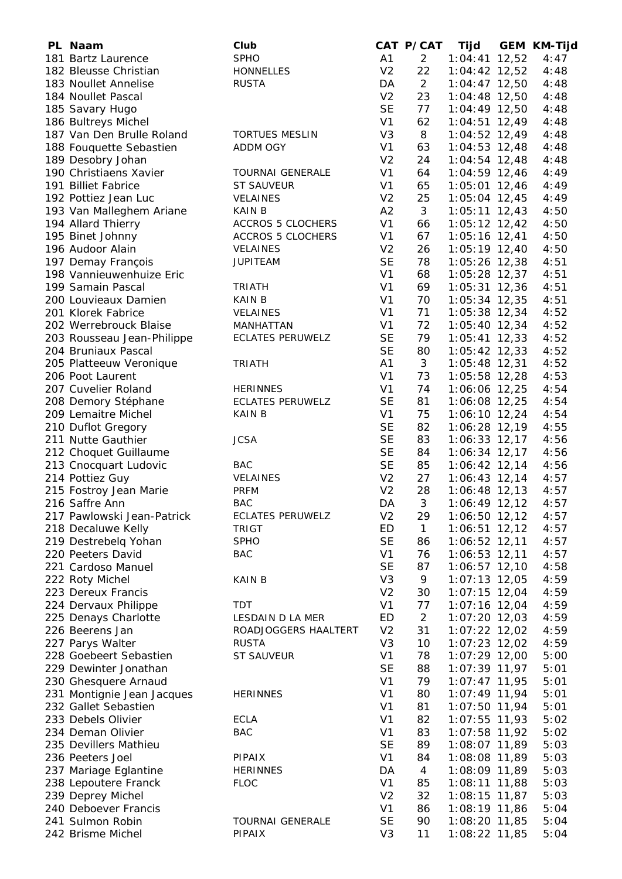| PL Naam                                   | Club                     |                | CAT P/CAT      | Tijd                           | <b>GEM KM-Tijd</b> |
|-------------------------------------------|--------------------------|----------------|----------------|--------------------------------|--------------------|
| 181 Bartz Laurence                        | <b>SPHO</b>              | A1             | $\overline{2}$ | $1:04:41$ 12,52                | 4:47               |
| 182 Bleusse Christian                     | <b>HONNELLES</b>         | V <sub>2</sub> | 22             | 1:04:42 12,52                  | 4:48               |
| 183 Noullet Annelise                      | <b>RUSTA</b>             | DA             | $\overline{2}$ | $1:04:47$ 12,50                | 4:48               |
| 184 Noullet Pascal                        |                          | V <sub>2</sub> | 23             | 1:04:48 12,50                  | 4:48               |
| 185 Savary Hugo                           |                          | <b>SE</b>      | 77             | 1:04:49 12,50                  | 4:48               |
| 186 Bultreys Michel                       |                          | V <sub>1</sub> | 62             | $1:04:51$ 12,49                | 4:48               |
| 187 Van Den Brulle Roland                 | <b>TORTUES MESLIN</b>    | V <sub>3</sub> | 8              | $1:04:52$ 12,49                | 4:48               |
| 188 Fouquette Sebastien                   | ADDM OGY                 | V <sub>1</sub> | 63             | $1:04:53$ 12,48                | 4:48               |
| 189 Desobry Johan                         |                          | V <sub>2</sub> | 24             | $1:04:54$ 12,48                | 4:48               |
| 190 Christiaens Xavier                    | <b>TOURNAI GENERALE</b>  | V <sub>1</sub> | 64             | 1:04:59 12,46                  | 4:49               |
| 191 Billiet Fabrice                       | <b>ST SAUVEUR</b>        | V <sub>1</sub> | 65             | $1:05:01$ 12,46                | 4:49               |
| 192 Pottiez Jean Luc                      | <b>VELAINES</b>          | V <sub>2</sub> | 25             | 1:05:04 12,45                  | 4:49               |
| 193 Van Malleghem Ariane                  | <b>KAIN B</b>            | A2             | 3              | $1:05:11$ 12,43                | 4:50               |
| 194 Allard Thierry                        | <b>ACCROS 5 CLOCHERS</b> | V <sub>1</sub> | 66             | $1:05:12$ 12,42                | 4:50               |
| 195 Binet Johnny                          | <b>ACCROS 5 CLOCHERS</b> | V <sub>1</sub> | 67             | $1:05:16$ 12,41                | 4:50               |
| 196 Audoor Alain                          | <b>VELAINES</b>          | V <sub>2</sub> | 26             | $1:05:19$ 12,40                | 4:50               |
| 197 Demay François                        | <b>JUPITEAM</b>          | <b>SE</b>      | 78             | $1:05:26$ 12,38                | 4:51               |
| 198 Vannieuwenhuize Eric                  |                          | V <sub>1</sub> | 68             | $1:05:28$ 12,37                | 4:51               |
| 199 Samain Pascal                         | <b>TRIATH</b>            | V <sub>1</sub> | 69             | $1:05:31$ 12,36                | 4:51               |
| 200 Louvieaux Damien                      | <b>KAIN B</b>            | V <sub>1</sub> | 70             | $1:05:34$ 12,35                | 4:51               |
| 201 Klorek Fabrice                        | <b>VELAINES</b>          | V <sub>1</sub> | 71             | $1:05:38$ 12,34                | 4:52               |
| 202 Werrebrouck Blaise                    | MANHATTAN                | V <sub>1</sub> | 72             | $1:05:40$ 12,34                | 4:52               |
| 203 Rousseau Jean-Philippe                | <b>ECLATES PERUWELZ</b>  | <b>SE</b>      | 79             | $1:05:41$ 12,33                | 4:52               |
| 204 Bruniaux Pascal                       |                          | <b>SE</b>      | 80             | $1:05:42$ 12,33                | 4:52               |
| 205 Platteeuw Veronique                   | <b>TRIATH</b>            | A1             | 3              | $1:05:48$ 12,31                | 4:52               |
| 206 Poot Laurent                          |                          | V <sub>1</sub> | 73             | $1:05:58$ 12,28                | 4:53               |
| 207 Cuvelier Roland                       | <b>HERINNES</b>          | V <sub>1</sub> | 74             | 1:06:06 12,25                  | 4:54               |
| 208 Demory Stéphane                       | <b>ECLATES PERUWELZ</b>  | <b>SE</b>      | 81             | 1:06:08 12,25                  | 4:54               |
| 209 Lemaitre Michel                       | <b>KAIN B</b>            | V <sub>1</sub> | 75             | 1:06:10 12,24                  | 4:54               |
| 210 Duflot Gregory                        |                          | <b>SE</b>      | 82             | 1:06:28 12,19                  | 4:55               |
| 211 Nutte Gauthier                        | <b>JCSA</b>              | <b>SE</b>      | 83             | $1:06:33$ 12,17                | 4:56               |
| 212 Choquet Guillaume                     |                          | <b>SE</b>      | 84             | $1:06:34$ 12,17                | 4:56               |
| 213 Cnocquart Ludovic                     | <b>BAC</b>               | <b>SE</b>      | 85             | $1:06:42$ 12,14                | 4:56               |
| 214 Pottiez Guy                           | VELAINES                 | V <sub>2</sub> | 27             | 1:06:43 12,14                  | 4:57               |
| 215 Fostroy Jean Marie                    | <b>PRFM</b>              | V <sub>2</sub> | 28             | $1:06:48$ 12,13                | 4:57               |
| 216 Saffre Ann                            | <b>BAC</b>               | DA             | 3              | $1:06:49$ 12,12                | 4:57               |
| 217 Pawlowski Jean-Patrick                | <b>ECLATES PERUWELZ</b>  | V <sub>2</sub> | 29             | 1:06:50 12,12                  | 4:57               |
| 218 Decaluwe Kelly                        | <b>TRIGT</b>             | ED             | $\mathbf{1}$   | $1:06:51$ 12,12                | 4:57               |
| 219 Destrebelg Yohan                      | <b>SPHO</b>              | <b>SE</b>      | 86             | 1:06:52 12,11                  | 4:57               |
| 220 Peeters David                         | <b>BAC</b>               | V <sub>1</sub> | 76             | $1:06:53$ 12,11                | 4:57               |
| 221 Cardoso Manuel                        |                          | <b>SE</b>      | 87             | 1:06:57 12,10                  | 4:58               |
| 222 Roty Michel                           | <b>KAIN B</b>            | V <sub>3</sub> | 9              | $1:07:13$ 12,05                | 4:59               |
| 223 Dereux Francis                        |                          | V <sub>2</sub> | 30             | $1:07:15$ 12,04                | 4:59               |
| 224 Dervaux Philippe                      | TDT                      | V <sub>1</sub> | 77             | $1:07:16$ 12,04                | 4:59               |
| 225 Denays Charlotte                      | LESDAIN D LA MER         | ED             | $\overline{2}$ | $1:07:20$ 12,03                | 4:59               |
| 226 Beerens Jan                           | ROADJOGGERS HAALTERT     | V <sub>2</sub> | 31             | $1:07:22$ 12,02                | 4:59               |
| 227 Parys Walter                          | <b>RUSTA</b>             | V <sub>3</sub> | 10             | $1:07:23$ 12,02                | 4:59               |
| 228 Goebeert Sebastien                    | <b>ST SAUVEUR</b>        | V <sub>1</sub> | 78             | $1:07:29$ 12,00                | 5:00               |
| 229 Dewinter Jonathan                     |                          | <b>SE</b>      | 88             | $1:07:39$ 11,97                | 5:01               |
| 230 Ghesquere Arnaud                      |                          | V <sub>1</sub> | 79             | $1:07:47$ 11,95                | 5:01               |
| 231 Montignie Jean Jacques                | <b>HERINNES</b>          | V <sub>1</sub> | 80             | $1:07:49$ 11,94                | 5:01               |
| 232 Gallet Sebastien                      |                          | V <sub>1</sub> | 81             | $1:07:50$ 11,94                | 5:01               |
| 233 Debels Olivier                        | ECLA                     | V <sub>1</sub> | 82             | $1:07:55$ 11,93                | 5:02               |
| 234 Deman Olivier                         | <b>BAC</b>               | V <sub>1</sub> | 83             | 1:07:58 11,92                  | 5:02               |
| 235 Devillers Mathieu                     |                          | <b>SE</b>      | 89             | 1:08:07 11,89                  | 5:03               |
| 236 Peeters Joel                          | <b>PIPAIX</b>            | V <sub>1</sub> | 84             | 1:08:08 11,89                  | 5:03               |
| 237 Mariage Eglantine                     | <b>HERINNES</b>          | DA             | 4              | 1:08:09 11,89                  | 5:03               |
|                                           | <b>FLOC</b>              | V <sub>1</sub> |                | 1:08:11 11,88                  | 5:03               |
| 238 Lepoutere Franck                      |                          | V <sub>2</sub> | 85<br>32       |                                | 5:03               |
| 239 Deprey Michel<br>240 Deboever Francis |                          | V <sub>1</sub> |                | 1:08:15 11,87                  |                    |
| 241 Sulmon Robin                          | <b>TOURNAI GENERALE</b>  | <b>SE</b>      | 86<br>90       | 1:08:19 11,86<br>1:08:20 11,85 | 5:04<br>5:04       |
| 242 Brisme Michel                         | PIPAIX                   | V <sub>3</sub> | 11             | 1:08:22 11,85                  | 5:04               |
|                                           |                          |                |                |                                |                    |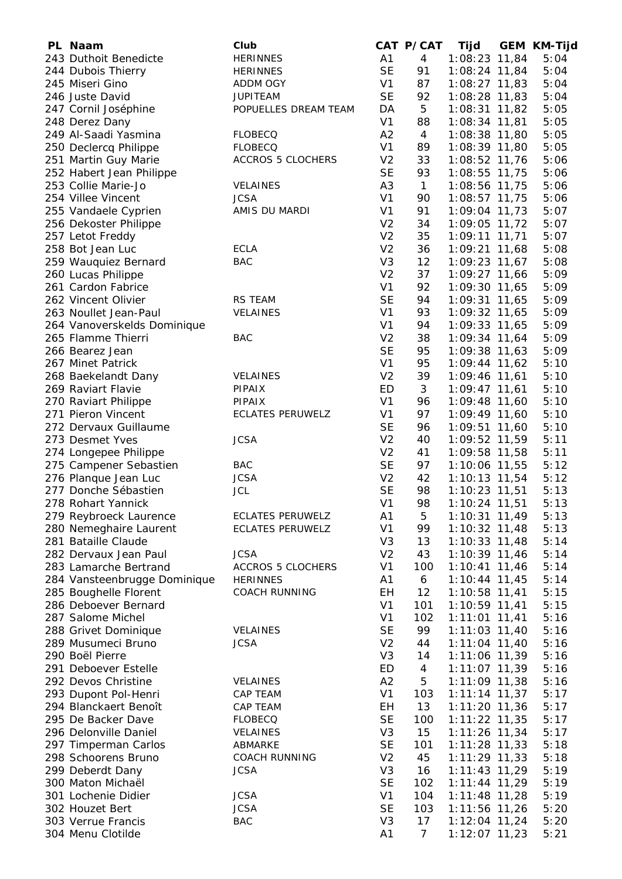| PL Naam                      | Club                     |                | CAT P/CAT      | Tijd            | <b>GEM KM-Tijd</b> |
|------------------------------|--------------------------|----------------|----------------|-----------------|--------------------|
| 243 Duthoit Benedicte        | <b>HERINNES</b>          | A1             | $\overline{4}$ | $1:08:23$ 11,84 | 5:04               |
| 244 Dubois Thierry           | <b>HERINNES</b>          | <b>SE</b>      | 91             | $1:08:24$ 11,84 | 5:04               |
| 245 Miseri Gino              | ADDM OGY                 | V <sub>1</sub> | 87             | $1:08:27$ 11,83 | 5:04               |
| 246 Juste David              | <b>JUPITEAM</b>          | <b>SE</b>      | 92             | $1:08:28$ 11,83 | 5:04               |
| 247 Cornil Joséphine         | POPUELLES DREAM TEAM     | DA             | 5              | $1:08:31$ 11,82 | 5:05               |
| 248 Derez Dany               |                          | V <sub>1</sub> | 88             | $1:08:34$ 11,81 | 5:05               |
| 249 Al-Saadi Yasmina         | <b>FLOBECQ</b>           | A2             | $\overline{4}$ | 1:08:38 11,80   | 5:05               |
| 250 Declercq Philippe        | <b>FLOBECQ</b>           | V <sub>1</sub> | 89             | 1:08:39 11,80   | 5:05               |
| 251 Martin Guy Marie         | <b>ACCROS 5 CLOCHERS</b> | V <sub>2</sub> | 33             | 1:08:52 11,76   | 5:06               |
| 252 Habert Jean Philippe     |                          | <b>SE</b>      | 93             | 1:08:55 11,75   | 5:06               |
| 253 Collie Marie-Jo          | <b>VELAINES</b>          | A <sub>3</sub> | $\mathbf{1}$   | 1:08:56 11,75   | 5:06               |
| 254 Villee Vincent           | <b>JCSA</b>              | V <sub>1</sub> | 90             | $1:08:57$ 11,75 | 5:06               |
| 255 Vandaele Cyprien         | AMIS DU MARDI            | V <sub>1</sub> | 91             | 1:09:04 11,73   | 5:07               |
| 256 Dekoster Philippe        |                          | V <sub>2</sub> | 34             | 1:09:05 11,72   | 5:07               |
| 257 Letot Freddy             |                          | V <sub>2</sub> | 35             | $1:09:11$ 11,71 | 5:07               |
| 258 Bot Jean Luc             | <b>ECLA</b>              | V <sub>2</sub> | 36             | 1:09:21 11,68   | 5:08               |
| 259 Wauquiez Bernard         | <b>BAC</b>               | V <sub>3</sub> | 12             | $1:09:23$ 11,67 | 5:08               |
| 260 Lucas Philippe           |                          | V <sub>2</sub> | 37             | 1:09:27 11,66   | 5:09               |
| 261 Cardon Fabrice           |                          | V <sub>1</sub> | 92             | 1:09:30 11,65   | 5:09               |
| 262 Vincent Olivier          | <b>RS TEAM</b>           | <b>SE</b>      | 94             | 1:09:31 11,65   | 5:09               |
| 263 Noullet Jean-Paul        | VELAINES                 | V <sub>1</sub> | 93             | 1:09:32 11,65   | 5:09               |
| 264 Vanoverskelds Dominique  |                          | V <sub>1</sub> | 94             | 1:09:33 11,65   | 5:09               |
| 265 Flamme Thierri           | <b>BAC</b>               | V <sub>2</sub> | 38             | 1:09:34 11,64   | 5:09               |
| 266 Bearez Jean              |                          | <b>SE</b>      | 95             | 1:09:38 11,63   | 5:09               |
| 267 Minet Patrick            |                          | V <sub>1</sub> | 95             | 1:09:44 11,62   | 5:10               |
| 268 Baekelandt Dany          | <b>VELAINES</b>          | V <sub>2</sub> | 39             | $1:09:46$ 11,61 | 5:10               |
| 269 Raviart Flavie           | <b>PIPAIX</b>            | ED             | 3              | $1:09:47$ 11,61 | 5:10               |
| 270 Raviart Philippe         | <b>PIPAIX</b>            | V <sub>1</sub> | 96             | 1:09:48 11,60   | 5:10               |
| 271 Pieron Vincent           | <b>ECLATES PERUWELZ</b>  | V <sub>1</sub> | 97             | 1:09:49 11,60   | 5:10               |
| 272 Dervaux Guillaume        |                          | <b>SE</b>      | 96             | 1:09:51 11,60   | 5:10               |
| 273 Desmet Yves              | <b>JCSA</b>              | V <sub>2</sub> | 40             | 1:09:52 11,59   | 5:11               |
| 274 Longepee Philippe        |                          | V <sub>2</sub> | 41             | 1:09:58 11,58   | 5:11               |
| 275 Campener Sebastien       | <b>BAC</b>               | <b>SE</b>      | 97             | 1:10:06 11,55   | 5:12               |
| 276 Planque Jean Luc         | <b>JCSA</b>              | V <sub>2</sub> | 42             | 1:10:13 11,54   | 5:12               |
| 277 Donche Sébastien         | <b>JCL</b>               | <b>SE</b>      | 98             | 1:10:23 11,51   | 5:13               |
| 278 Rohart Yannick           |                          | V <sub>1</sub> | 98             | 1:10:24 11,51   | 5:13               |
| 279 Reybroeck Laurence       | <b>ECLATES PERUWELZ</b>  | A1             | 5              | 1:10:31 11,49   | 5:13               |
| 280 Nemeghaire Laurent       | <b>ECLATES PERUWELZ</b>  | V <sub>1</sub> | 99             | $1:10:32$ 11,48 | 5:13               |
| 281 Bataille Claude          |                          | V <sub>3</sub> | 13             | $1:10:33$ 11,48 | 5:14               |
| 282 Dervaux Jean Paul        | <b>JCSA</b>              | V <sub>2</sub> | 43             | $1:10:39$ 11,46 | 5:14               |
| 283 Lamarche Bertrand        | <b>ACCROS 5 CLOCHERS</b> | V <sub>1</sub> | 100            | $1:10:41$ 11,46 | 5:14               |
| 284 Vansteenbrugge Dominique | <b>HERINNES</b>          | A1             | 6              | $1:10:44$ 11,45 | 5:14               |
| 285 Boughelle Florent        | <b>COACH RUNNING</b>     | EН             | 12             | $1:10:58$ 11,41 | 5:15               |
| 286 Deboever Bernard         |                          | V <sub>1</sub> | 101            | $1:10:59$ 11,41 | 5:15               |
| 287 Salome Michel            |                          | V <sub>1</sub> | 102            | $1:11:01$ 11,41 | 5:16               |
| 288 Grivet Dominique         | <b>VELAINES</b>          | <b>SE</b>      | 99             | $1:11:03$ 11,40 | 5:16               |
| 289 Musumeci Bruno           | <b>JCSA</b>              | V <sub>2</sub> | 44             | $1:11:04$ 11,40 | 5:16               |
| 290 Boël Pierre              |                          | V <sub>3</sub> | 14             | 1:11:06 11,39   | 5:16               |
| 291 Deboever Estelle         |                          | <b>ED</b>      | 4              | 1:11:07 11,39   | 5:16               |
| 292 Devos Christine          | <b>VELAINES</b>          | A2             | 5              | $1:11:09$ 11,38 | 5:16               |
| 293 Dupont Pol-Henri         | CAP TEAM                 | V <sub>1</sub> | 103            | $1:11:14$ 11,37 | 5:17               |
| 294 Blanckaert Benoît        | CAP TEAM                 | EH             | 13             | $1:11:20$ 11,36 | 5:17               |
| 295 De Backer Dave           | <b>FLOBECQ</b>           | <b>SE</b>      | 100            | $1:11:22$ 11,35 | 5:17               |
| 296 Delonville Daniel        | <b>VELAINES</b>          | V <sub>3</sub> | 15             | $1:11:26$ 11,34 | 5:17               |
| 297 Timperman Carlos         | ABMARKE                  | <b>SE</b>      | 101            | $1:11:28$ 11,33 | 5:18               |
| 298 Schoorens Bruno          | <b>COACH RUNNING</b>     | V <sub>2</sub> | 45             | $1:11:29$ 11,33 | 5:18               |
| 299 Deberdt Dany             | <b>JCSA</b>              | V <sub>3</sub> | 16             | $1:11:43$ 11,29 | 5:19               |
| 300 Maton Michaël            |                          | <b>SE</b>      | 102            | $1:11:44$ 11,29 | 5:19               |
| 301 Lochenie Didier          | <b>JCSA</b>              | V <sub>1</sub> | 104            | $1:11:48$ 11,28 | 5:19               |
| 302 Houzet Bert              | <b>JCSA</b>              | <b>SE</b>      | 103            | $1:11:56$ 11,26 | 5:20               |
| 303 Verrue Francis           | <b>BAC</b>               | V <sub>3</sub> | 17             | $1:12:04$ 11,24 | 5:20               |
| 304 Menu Clotilde            |                          | A1             | $\overline{7}$ | $1:12:07$ 11,23 | 5:21               |
|                              |                          |                |                |                 |                    |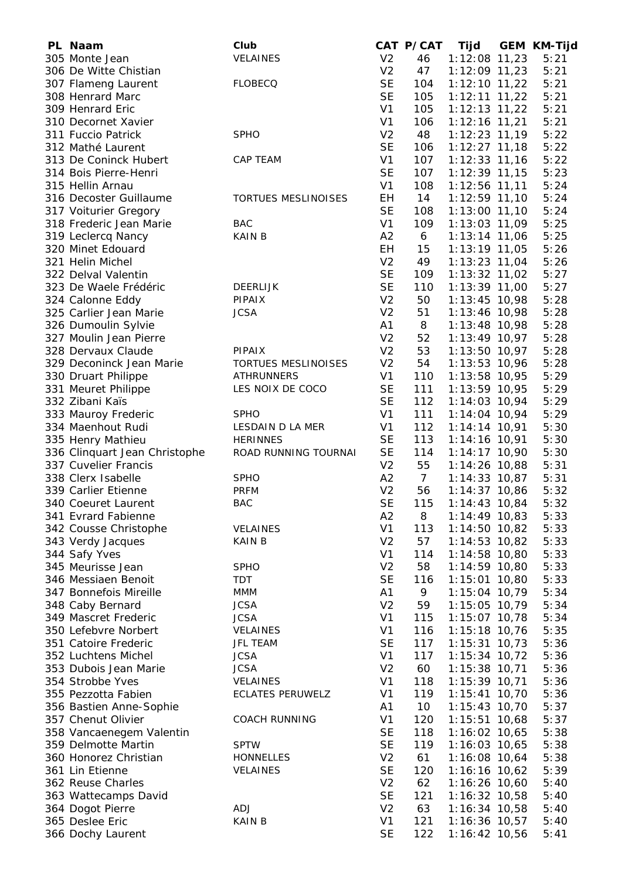| PL Naam                       | Club                    |                | CAT P/CAT       | Tijd            | <b>GEM KM-Tijd</b> |
|-------------------------------|-------------------------|----------------|-----------------|-----------------|--------------------|
| 305 Monte Jean                | VELAINES                | V <sub>2</sub> | 46              | $1:12:08$ 11,23 | 5:21               |
| 306 De Witte Chistian         |                         | V <sub>2</sub> | 47              | 1:12:09 11,23   | 5:21               |
| 307 Flameng Laurent           | <b>FLOBECQ</b>          | <b>SE</b>      | 104             | $1:12:10$ 11,22 | 5:21               |
| 308 Henrard Marc              |                         | <b>SE</b>      | 105             | $1:12:11$ 11,22 | 5:21               |
| 309 Henrard Eric              |                         | V <sub>1</sub> | 105             | $1:12:13$ 11,22 | 5:21               |
| 310 Decornet Xavier           |                         | V <sub>1</sub> | 106             | 1:12:16 11,21   | 5:21               |
| 311 Fuccio Patrick            | <b>SPHO</b>             | V <sub>2</sub> | 48              | $1:12:23$ 11,19 | 5:22               |
| 312 Mathé Laurent             |                         | <b>SE</b>      | 106             | $1:12:27$ 11,18 | 5:22               |
| 313 De Coninck Hubert         | CAP TEAM                | V <sub>1</sub> | 107             | $1:12:33$ 11,16 | 5:22               |
| 314 Bois Pierre-Henri         |                         | <b>SE</b>      | 107             | 1:12:39 11,15   | 5:23               |
| 315 Hellin Arnau              |                         | V <sub>1</sub> | 108             | $1:12:56$ 11,11 | 5:24               |
| 316 Decoster Guillaume        | TORTUES MESLINOISES     | EH             | 14              | 1:12:59 11,10   | 5:24               |
| 317 Voiturier Gregory         |                         | <b>SE</b>      | 108             | $1:13:00$ 11,10 | 5:24               |
| 318 Frederic Jean Marie       | <b>BAC</b>              | V <sub>1</sub> | 109             | 1:13:03 11,09   | 5:25               |
| 319 Leclercq Nancy            | <b>KAIN B</b>           | A <sub>2</sub> | 6               | $1:13:14$ 11,06 | 5:25               |
| 320 Minet Edouard             |                         | EH             | 15              | $1:13:19$ 11,05 | 5:26               |
| 321 Helin Michel              |                         | V <sub>2</sub> | 49              | $1:13:23$ 11,04 | 5:26               |
| 322 Delval Valentin           |                         | <b>SE</b>      | 109             | $1:13:32$ 11,02 | 5:27               |
| 323 De Waele Frédéric         | <b>DEERLIJK</b>         | <b>SE</b>      | 110             | $1:13:39$ 11,00 | 5:27               |
| 324 Calonne Eddy              | <b>PIPAIX</b>           | V <sub>2</sub> | 50              | $1:13:45$ 10,98 | 5:28               |
| 325 Carlier Jean Marie        | <b>JCSA</b>             | V <sub>2</sub> | 51              | $1:13:46$ 10,98 | 5:28               |
| 326 Dumoulin Sylvie           |                         | A <sub>1</sub> | 8               | $1:13:48$ 10,98 | 5:28               |
| 327 Moulin Jean Pierre        |                         | V <sub>2</sub> | 52              | $1:13:49$ 10,97 | 5:28               |
| 328 Dervaux Claude            | <b>PIPAIX</b>           | V <sub>2</sub> | 53              | $1:13:50$ 10,97 | 5:28               |
| 329 Deconinck Jean Marie      | TORTUES MESLINOISES     | V <sub>2</sub> | 54              | $1:13:53$ 10,96 | 5:28               |
| 330 Druart Philippe           | <b>ATHRUNNERS</b>       | V <sub>1</sub> | 110             | $1:13:58$ 10,95 | 5:29               |
| 331 Meuret Philippe           | LES NOIX DE COCO        | <b>SE</b>      | 111             | $1:13:59$ 10,95 | 5:29               |
| 332 Zibani Kaïs               |                         | <b>SE</b>      | 112             | $1:14:03$ 10,94 | 5:29               |
| 333 Mauroy Frederic           | <b>SPHO</b>             | V <sub>1</sub> | 111             | $1:14:04$ 10,94 | 5:29               |
| 334 Maenhout Rudi             | LESDAIN D LA MER        | V <sub>1</sub> | 112             | $1:14:14$ 10,91 | 5:30               |
| 335 Henry Mathieu             | <b>HERINNES</b>         | <b>SE</b>      | 113             | 1:14:16 10,91   | 5:30               |
| 336 Clinquart Jean Christophe | ROAD RUNNING TOURNAI    | <b>SE</b>      | 114             | $1:14:17$ 10,90 | 5:30               |
| 337 Cuvelier Francis          |                         | V <sub>2</sub> | 55              | 1:14:26 10,88   | 5:31               |
| 338 Clerx Isabelle            | <b>SPHO</b>             | A2             | $7\overline{ }$ | $1:14:33$ 10,87 | 5:31               |
| 339 Carlier Etienne           | <b>PRFM</b>             | V <sub>2</sub> | 56              | $1:14:37$ 10,86 | 5:32               |
| 340 Coeuret Laurent           | <b>BAC</b>              | <b>SE</b>      | 115             | 1:14:43 10,84   | 5:32               |
| 341 Evrard Fabienne           |                         | A2             | 8               | 1:14:49 10,83   | 5:33               |
| 342 Cousse Christophe         | <b>VELAINES</b>         | V <sub>1</sub> | 113             | $1:14:50$ 10,82 | 5:33               |
| 343 Verdy Jacques             | <b>KAIN B</b>           | V <sub>2</sub> | 57              | $1:14:53$ 10,82 | 5:33               |
| 344 Safy Yves                 |                         | V <sub>1</sub> | 114             | $1:14:58$ 10,80 | 5:33               |
| 345 Meurisse Jean             | <b>SPHO</b>             | V <sub>2</sub> | 58              | 1:14:59 10,80   | 5:33               |
| 346 Messiaen Benoit           | <b>TDT</b>              | <b>SE</b>      | 116             | 1:15:01 10,80   | 5:33               |
| 347 Bonnefois Mireille        | <b>MMM</b>              | A1             | 9               | 1:15:04 10,79   | 5:34               |
| 348 Caby Bernard              | <b>JCSA</b>             | V <sub>2</sub> | 59              | 1:15:05 10,79   | 5:34               |
| 349 Mascret Frederic          | <b>JCSA</b>             | V <sub>1</sub> | 115             | 1:15:07 10,78   | 5:34               |
| 350 Lefebvre Norbert          | VELAINES                | V <sub>1</sub> | 116             | $1:15:18$ 10,76 | 5:35               |
| 351 Catoire Frederic          | <b>JFL TEAM</b>         | <b>SE</b>      | 117             | $1:15:31$ 10,73 | 5:36               |
| 352 Luchtens Michel           | <b>JCSA</b>             | V <sub>1</sub> | 117             | $1:15:34$ 10,72 | 5:36               |
| 353 Dubois Jean Marie         | <b>JCSA</b>             | V <sub>2</sub> | 60              | $1:15:38$ 10,71 | 5:36               |
| 354 Strobbe Yves              | VELAINES                | V <sub>1</sub> | 118             | $1:15:39$ 10,71 | 5:36               |
| 355 Pezzotta Fabien           | <b>ECLATES PERUWELZ</b> | V <sub>1</sub> | 119             | $1:15:41$ 10,70 | 5:36               |
| 356 Bastien Anne-Sophie       |                         | A <sub>1</sub> | 10              | $1:15:43$ 10,70 | 5:37               |
| 357 Chenut Olivier            | <b>COACH RUNNING</b>    | V <sub>1</sub> | 120             | 1:15:51 10,68   | 5:37               |
| 358 Vancaenegem Valentin      |                         | <b>SE</b>      | 118             | $1:16:02$ 10,65 | 5:38               |
| 359 Delmotte Martin           | <b>SPTW</b>             | <b>SE</b>      | 119             | 1:16:03 10,65   | 5:38               |
| 360 Honorez Christian         | HONNELLES               | V <sub>2</sub> | 61              | 1:16:08 10,64   | 5:38               |
| 361 Lin Etienne               | VELAINES                | <b>SE</b>      | 120             | 1:16:16 10,62   | 5:39               |
| 362 Reuse Charles             |                         | V <sub>2</sub> | 62              | 1:16:26 10,60   | 5:40               |
| 363 Wattecamps David          |                         | <b>SE</b>      | 121             | 1:16:32 10,58   | 5:40               |
| 364 Dogot Pierre              | ADJ                     | V <sub>2</sub> | 63              | $1:16:34$ 10,58 | 5:40               |
| 365 Deslee Eric               | <b>KAIN B</b>           | V <sub>1</sub> | 121             | 1:16:36 10,57   | 5:40               |
| 366 Dochy Laurent             |                         | <b>SE</b>      | 122             | 1:16:42 10,56   | 5:41               |
|                               |                         |                |                 |                 |                    |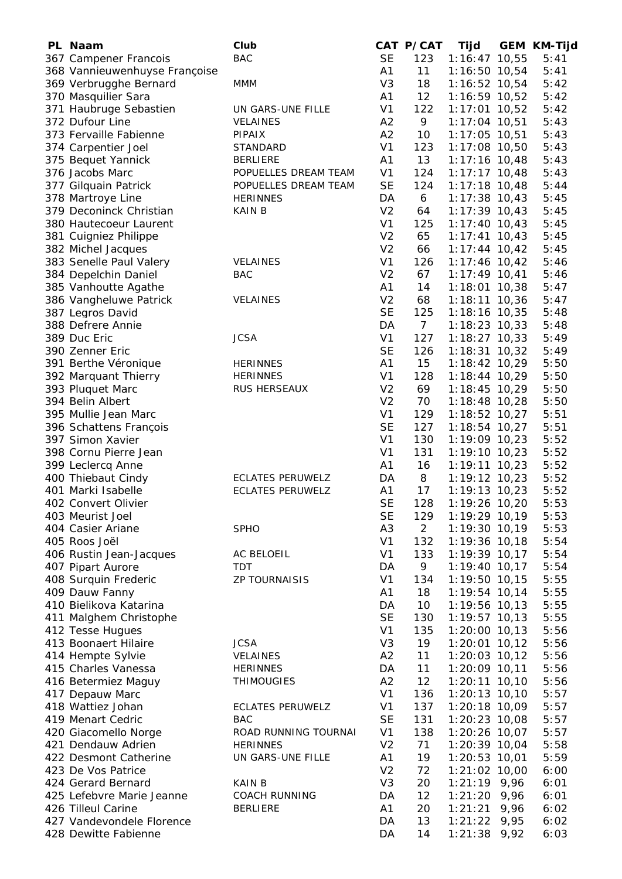| PL Naam                       | Club                    |                | CAT P/CAT       | Tijd            |      | <b>GEM KM-Tijd</b> |
|-------------------------------|-------------------------|----------------|-----------------|-----------------|------|--------------------|
| 367 Campener Francois         | <b>BAC</b>              | <b>SE</b>      | 123             | $1:16:47$ 10,55 |      | 5:41               |
| 368 Vannieuwenhuyse Françoise |                         | A1             | 11              | 1:16:50 10,54   |      | 5:41               |
| 369 Verbrugghe Bernard        | <b>MMM</b>              | V <sub>3</sub> | 18              | 1:16:52 10,54   |      | 5:42               |
| 370 Masquilier Sara           |                         | A1             | 12              | 1:16:59 10,52   |      | 5:42               |
| 371 Haubruge Sebastien        | UN GARS-UNE FILLE       | V <sub>1</sub> | 122             | $1:17:01$ 10,52 |      | 5:42               |
| 372 Dufour Line               | <b>VELAINES</b>         | A2             | 9               | 1:17:04 10,51   |      | 5:43               |
| 373 Fervaille Fabienne        | <b>PIPAIX</b>           | A2             | 10              | 1:17:05 10,51   |      | 5:43               |
| 374 Carpentier Joel           | STANDARD                | V <sub>1</sub> | 123             | 1:17:08 10,50   |      | 5:43               |
|                               | <b>BERLIERE</b>         | A1             | 13              |                 |      |                    |
| 375 Bequet Yannick            |                         |                |                 | $1:17:16$ 10,48 |      | 5:43               |
| 376 Jacobs Marc               | POPUELLES DREAM TEAM    | V <sub>1</sub> | 124             | $1:17:17$ 10,48 |      | 5:43               |
| 377 Gilquain Patrick          | POPUELLES DREAM TEAM    | <b>SE</b>      | 124             | $1:17:18$ 10,48 |      | 5:44               |
| 378 Martroye Line             | <b>HERINNES</b>         | DA             | 6               | $1:17:38$ 10,43 |      | 5:45               |
| 379 Deconinck Christian       | <b>KAIN B</b>           | V <sub>2</sub> | 64              | $1:17:39$ 10,43 |      | 5:45               |
| 380 Hautecoeur Laurent        |                         | V <sub>1</sub> | 125             | $1:17:40$ 10,43 |      | 5:45               |
| 381 Cuigniez Philippe         |                         | V <sub>2</sub> | 65              | $1:17:41$ 10,43 |      | 5:45               |
| 382 Michel Jacques            |                         | V <sub>2</sub> | 66              | $1:17:44$ 10,42 |      | 5:45               |
| 383 Senelle Paul Valery       | <b>VELAINES</b>         | V <sub>1</sub> | 126             | $1:17:46$ 10,42 |      | 5:46               |
| 384 Depelchin Daniel          | <b>BAC</b>              | V <sub>2</sub> | 67              | $1:17:49$ 10,41 |      | 5:46               |
| 385 Vanhoutte Agathe          |                         | A <sub>1</sub> | 14              | $1:18:01$ 10,38 |      | 5:47               |
| 386 Vangheluwe Patrick        | <b>VELAINES</b>         | V <sub>2</sub> | 68              | $1:18:11$ 10,36 |      | 5:47               |
| 387 Legros David              |                         | <b>SE</b>      | 125             | $1:18:16$ 10,35 |      | 5:48               |
| 388 Defrere Annie             |                         | DA             | 7 <sup>7</sup>  | $1:18:23$ 10,33 |      | 5:48               |
| 389 Duc Eric                  | <b>JCSA</b>             | V <sub>1</sub> | 127             | $1:18:27$ 10,33 |      | 5:49               |
|                               |                         |                |                 |                 |      |                    |
| 390 Zenner Eric               |                         | <b>SE</b>      | 126             | $1:18:31$ 10,32 |      | 5:49               |
| 391 Berthe Véronique          | <b>HERINNES</b>         | A <sub>1</sub> | 15              | $1:18:42$ 10,29 |      | 5:50               |
| 392 Marquant Thierry          | <b>HERINNES</b>         | V <sub>1</sub> | 128             | $1:18:44$ 10,29 |      | 5:50               |
| 393 Pluquet Marc              | RUS HERSEAUX            | V <sub>2</sub> | 69              | $1:18:45$ 10,29 |      | 5:50               |
| 394 Belin Albert              |                         | V <sub>2</sub> | 70              | $1:18:48$ 10,28 |      | 5:50               |
| 395 Mullie Jean Marc          |                         | V <sub>1</sub> | 129             | $1:18:52$ 10,27 |      | 5:51               |
| 396 Schattens François        |                         | <b>SE</b>      | 127             | $1:18:54$ 10,27 |      | 5:51               |
| 397 Simon Xavier              |                         | V <sub>1</sub> | 130             | 1:19:09 10,23   |      | 5:52               |
| 398 Cornu Pierre Jean         |                         | V <sub>1</sub> | 131             | $1:19:10$ 10,23 |      | 5:52               |
| 399 Leclercq Anne             |                         | A1             | 16              | $1:19:11$ 10,23 |      | 5:52               |
| 400 Thiebaut Cindy            | <b>ECLATES PERUWELZ</b> | DA             | 8               | $1:19:12$ 10,23 |      | 5:52               |
| 401 Marki Isabelle            | <b>ECLATES PERUWELZ</b> | Α1             | 17              | $1:19:13$ 10,23 |      | 5:52               |
| 402 Convert Olivier           |                         | <b>SE</b>      | 128             | 1:19:26 10,20   |      | 5:53               |
| 403 Meurist Joel              |                         | <b>SE</b>      | 129             | 1:19:29 10,19   |      | 5:53               |
| 404 Casier Ariane             | <b>SPHO</b>             | A <sub>3</sub> | $2^{\circ}$     | 1:19:30 10,19   |      | 5:53               |
| 405 Roos Joël                 |                         | V <sub>1</sub> | 132             | 1:19:36 10,18   |      | 5:54               |
|                               |                         |                |                 |                 |      |                    |
| 406 Rustin Jean-Jacques       | AC BELOEIL              | V <sub>1</sub> | 133             | 1:19:39 10,17   |      | 5:54               |
| 407 Pipart Aurore             | <b>TDT</b>              | DA             | 9               | 1:19:40 10,17   |      | 5:54               |
| 408 Surquin Frederic          | <b>ZP TOURNAISIS</b>    | V <sub>1</sub> | 134             | 1:19:50 10,15   |      | 5:55               |
| 409 Dauw Fanny                |                         | A1             | 18              | 1:19:54 10,14   |      | 5:55               |
| 410 Bielikova Katarina        |                         | DA             | 10 <sup>°</sup> | 1:19:56 10,13   |      | 5:55               |
| 411 Malghem Christophe        |                         | <b>SE</b>      | 130             | $1:19:57$ 10,13 |      | 5:55               |
| 412 Tesse Hugues              |                         | V <sub>1</sub> | 135             | $1:20:00$ 10,13 |      | 5:56               |
| 413 Boonaert Hilaire          | <b>JCSA</b>             | V <sub>3</sub> | 19              | $1:20:01$ 10,12 |      | 5:56               |
| 414 Hempte Sylvie             | <b>VELAINES</b>         | A2             | 11              | $1:20:03$ 10,12 |      | 5:56               |
| 415 Charles Vanessa           | <b>HERINNES</b>         | DA             | 11              | $1:20:09$ 10,11 |      | 5:56               |
| 416 Betermiez Maguy           | <b>THIMOUGIES</b>       | A2             | 12              | $1:20:11$ 10,10 |      | 5:56               |
| 417 Depauw Marc               |                         | V <sub>1</sub> | 136             | $1:20:13$ 10,10 |      | 5:57               |
| 418 Wattiez Johan             | <b>ECLATES PERUWELZ</b> | V <sub>1</sub> | 137             | $1:20:18$ 10,09 |      | 5:57               |
| 419 Menart Cedric             | <b>BAC</b>              | <b>SE</b>      | 131             | $1:20:23$ 10,08 |      | 5:57               |
| 420 Giacomello Norge          | ROAD RUNNING TOURNAI    | V <sub>1</sub> | 138             | $1:20:26$ 10,07 |      | 5:57               |
| 421 Dendauw Adrien            | <b>HERINNES</b>         | V <sub>2</sub> | 71              | $1:20:39$ 10,04 |      | 5:58               |
|                               |                         |                |                 |                 |      |                    |
| 422 Desmont Catherine         | UN GARS-UNE FILLE       | A1             | 19              | $1:20:53$ 10,01 |      | 5:59               |
| 423 De Vos Patrice            |                         | V <sub>2</sub> | 72              | 1:21:02 10,00   |      | 6:00               |
| 424 Gerard Bernard            | <b>KAIN B</b>           | V <sub>3</sub> | 20              | $1:21:19$ 9,96  |      | 6:01               |
| 425 Lefebvre Marie Jeanne     | <b>COACH RUNNING</b>    | DA             | 12              | $1:21:20$ 9,96  |      | 6:01               |
| 426 Tilleul Carine            | <b>BERLIERE</b>         | A <sub>1</sub> | 20              | 1:21:21         | 9,96 | 6:02               |
| 427 Vandevondele Florence     |                         | DA             | 13              | $1:21:22$ 9,95  |      | 6:02               |
| 428 Dewitte Fabienne          |                         | DA             | 14              | $1:21:38$ 9,92  |      | 6:03               |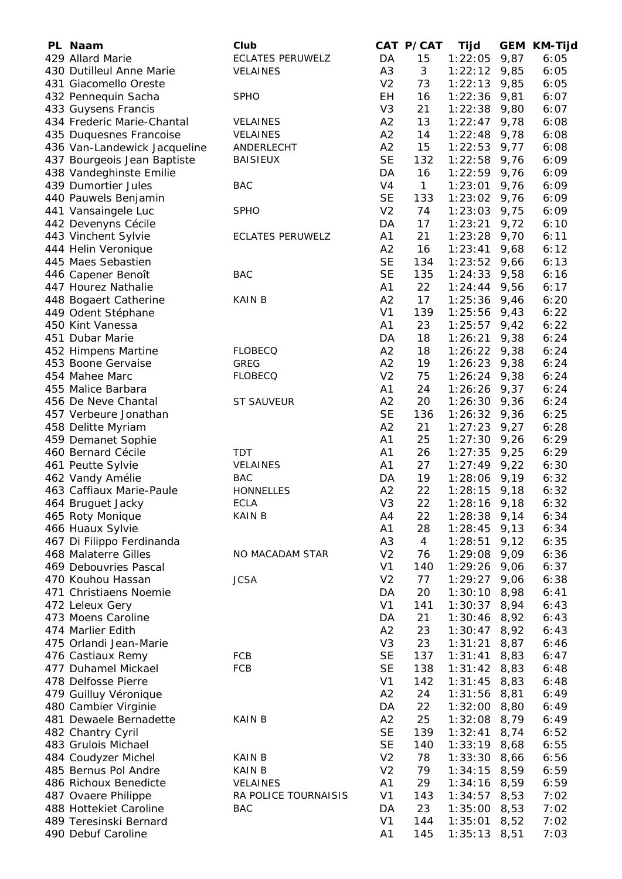| PL Naam                      | Club                    |                | CAT P/CAT      | Tijd           |      | <b>GEM KM-Tijd</b> |
|------------------------------|-------------------------|----------------|----------------|----------------|------|--------------------|
| 429 Allard Marie             | <b>ECLATES PERUWELZ</b> | DA             | 15             | 1:22:05        | 9,87 | 6:05               |
| 430 Dutilleul Anne Marie     | VELAINES                | A <sub>3</sub> | 3              | 1:22:12        | 9,85 | 6:05               |
| 431 Giacomello Oreste        |                         | V <sub>2</sub> | 73             | 1:22:13        | 9,85 | 6:05               |
| 432 Pennequin Sacha          | <b>SPHO</b>             | EH             | 16             | 1:22:36        | 9,81 | 6:07               |
| 433 Guysens Francis          |                         | V <sub>3</sub> | 21             | 1:22:38        | 9,80 | 6:07               |
| 434 Frederic Marie-Chantal   | <b>VELAINES</b>         | A2             | 13             | 1:22:47        | 9,78 | 6:08               |
| 435 Duquesnes Francoise      | <b>VELAINES</b>         | A2             | 14             | 1:22:48        | 9,78 | 6:08               |
| 436 Van-Landewick Jacqueline | ANDERLECHT              | A2             | 15             | 1:22:53        | 9,77 | 6:08               |
| 437 Bourgeois Jean Baptiste  | <b>BAISIEUX</b>         | <b>SE</b>      | 132            | 1:22:58        | 9,76 | 6:09               |
| 438 Vandeghinste Emilie      |                         | DA             | 16             | 1:22:59        | 9,76 | 6:09               |
| 439 Dumortier Jules          | <b>BAC</b>              | V <sub>4</sub> | $\mathbf{1}$   | 1:23:01        | 9,76 | 6:09               |
| 440 Pauwels Benjamin         |                         | <b>SE</b>      | 133            | 1:23:02        | 9,76 | 6:09               |
| 441 Vansaingele Luc          | <b>SPHO</b>             | V <sub>2</sub> | 74             | 1:23:03        | 9,75 | 6:09               |
| 442 Devenyns Cécile          |                         | DA             | 17             | 1:23:21        | 9,72 | 6:10               |
| 443 Vinchent Sylvie          | <b>ECLATES PERUWELZ</b> | A1             | 21             | 1:23:28        | 9,70 | 6:11               |
| 444 Helin Veronique          |                         | A2             | 16             | 1:23:41        | 9,68 | 6:12               |
| 445 Maes Sebastien           |                         | <b>SE</b>      | 134            | 1:23:52        | 9,66 | 6:13               |
| 446 Capener Benoît           | <b>BAC</b>              | <b>SE</b>      | 135            | 1:24:33        | 9,58 | 6:16               |
| 447 Hourez Nathalie          |                         | A1             | 22             | 1:24:44        | 9,56 | 6:17               |
| 448 Bogaert Catherine        | <b>KAINB</b>            | A2             | 17             | $1:25:36$ 9,46 |      | 6:20               |
| 449 Odent Stéphane           |                         | V <sub>1</sub> | 139            | $1:25:56$ 9,43 |      | 6:22               |
| 450 Kint Vanessa             |                         | A1             | 23             | $1:25:57$ 9,42 |      | 6:22               |
| 451 Dubar Marie              |                         | DA             | 18             | 1:26:21        | 9,38 | 6:24               |
| 452 Himpens Martine          | <b>FLOBECQ</b>          | A2             | 18             | $1:26:22$ 9,38 |      | 6:24               |
| 453 Boone Gervaise           | GREG                    | A2             | 19             | $1:26:23$ 9,38 |      | 6:24               |
| 454 Mahee Marc               | <b>FLOBECQ</b>          | V <sub>2</sub> | 75             | $1:26:24$ 9,38 |      | 6:24               |
| 455 Malice Barbara           |                         | A1             | 24             | $1:26:26$ 9,37 |      | 6:24               |
| 456 De Neve Chantal          | <b>ST SAUVEUR</b>       | A2             | 20             | $1:26:30$ 9,36 |      | 6:24               |
| 457 Verbeure Jonathan        |                         | <b>SE</b>      | 136            | $1:26:32$ 9,36 |      | 6:25               |
| 458 Delitte Myriam           |                         | A2             | 21             | 1:27:23        | 9,27 | 6:28               |
| 459 Demanet Sophie           |                         | A1             | 25             | $1:27:30$ 9,26 |      | 6:29               |
| 460 Bernard Cécile           | <b>TDT</b>              | A1             | 26             | 1:27:35        | 9,25 | 6:29               |
| 461 Peutte Sylvie            | <b>VELAINES</b>         | A1             | 27             | 1:27:49        | 9,22 | 6:30               |
| 462 Vandy Amélie             | <b>BAC</b>              | DA             | 19             | 1:28:06        | 9,19 | 6:32               |
| 463 Caffiaux Marie-Paule     | <b>HONNELLES</b>        | A2             | 22             | 1:28:15        | 9,18 | 6:32               |
| 464 Bruguet Jacky            | <b>ECLA</b>             | V <sub>3</sub> | 22             | 1:28:16        | 9,18 | 6:32               |
| 465 Roty Monique             | <b>KAIN B</b>           | A4             | 22             | 1:28:38        | 9,14 | 6:34               |
| 466 Huaux Sylvie             |                         | A1             | 28             | 1:28:45        | 9,13 | 6:34               |
| 467 Di Filippo Ferdinanda    |                         | A <sub>3</sub> | $\overline{4}$ | 1:28:51        | 9,12 | 6:35               |
| 468 Malaterre Gilles         | NO MACADAM STAR         | V <sub>2</sub> | 76             | 1:29:08        | 9,09 | 6:36               |
| 469 Debouvries Pascal        |                         | V <sub>1</sub> | 140            | 1:29:26        | 9,06 | 6:37               |
| 470 Kouhou Hassan            | <b>JCSA</b>             | V <sub>2</sub> | 77             | 1:29:27        | 9,06 | 6:38               |
| 471 Christiaens Noemie       |                         | DA             | 20             | 1:30:10        | 8,98 | 6:41               |
| 472 Leleux Gery              |                         | V <sub>1</sub> | 141            | 1:30:37        | 8,94 | 6:43               |
| 473 Moens Caroline           |                         | DA             | 21             | 1:30:46        | 8,92 | 6:43               |
| 474 Marlier Edith            |                         | A2             | 23             | 1:30:47        | 8,92 | 6:43               |
| 475 Orlandi Jean-Marie       |                         | V <sub>3</sub> | 23             | 1:31:21        | 8,87 | 6:46               |
| 476 Castiaux Remy            | FCB                     | <b>SE</b>      | 137            | 1:31:41        | 8,83 | 6:47               |
| 477 Duhamel Mickael          | <b>FCB</b>              | <b>SE</b>      | 138            | 1:31:42        | 8,83 | 6:48               |
| 478 Delfosse Pierre          |                         | V <sub>1</sub> | 142            | 1:31:45        | 8,83 | 6:48               |
| 479 Guilluy Véronique        |                         | A2             | 24             | 1:31:56        | 8,81 | 6:49               |
| 480 Cambier Virginie         |                         | DA             | 22             | 1:32:00        | 8,80 | 6:49               |
| 481 Dewaele Bernadette       | <b>KAINB</b>            | A2             | 25             | 1:32:08        | 8,79 | 6:49               |
| 482 Chantry Cyril            |                         | <b>SE</b>      | 139            | 1:32:41        | 8,74 | 6:52               |
| 483 Grulois Michael          |                         | <b>SE</b>      | 140            | 1:33:19        | 8,68 | 6:55               |
| 484 Coudyzer Michel          | <b>KAIN B</b>           | V <sub>2</sub> | 78             | 1:33:30        | 8,66 | 6:56               |
| 485 Bernus Pol Andre         | <b>KAIN B</b>           | V <sub>2</sub> | 79             | $1:34:15$ 8,59 |      | 6:59               |
| 486 Richoux Benedicte        | VELAINES                | A1             | 29             | $1:34:16$ 8,59 |      | 6:59               |
| 487 Ovaere Philippe          | RA POLICE TOURNAISIS    | V <sub>1</sub> | 143            | $1:34:57$ 8,53 |      | 7:02               |
| 488 Hottekiet Caroline       | <b>BAC</b>              | DA             | 23             | $1:35:00$ 8,53 |      | 7:02               |
| 489 Teresinski Bernard       |                         | V <sub>1</sub> | 144            | $1:35:01$ 8,52 |      | 7:02               |
| 490 Debuf Caroline           |                         | A1             | 145            | $1:35:13$ 8,51 |      | 7:03               |